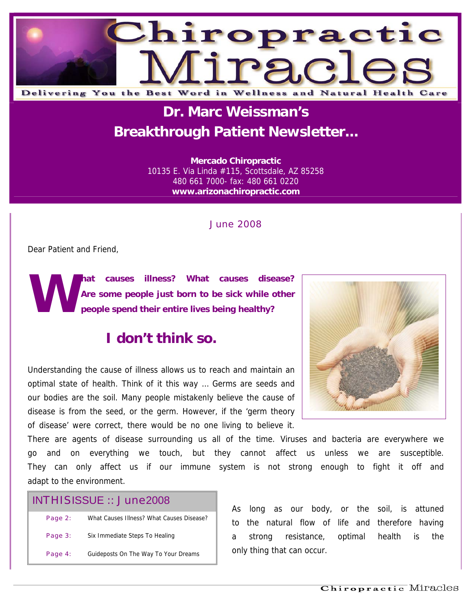

# **Dr. Marc Weissman's Breakthrough Patient Newsletter...**

**Mercado Chiropractic**  10135 E. Via Linda #115, Scottsdale, AZ 85258 480 661 7000- fax: 480 661 0220 **www.arizonachiropractic.com**

#### June 2008

Dear Patient and Friend,

**hat causes illness? What causes disease?**  Are some people just born to be sick while other people spend their entire lives being healthy?

### **I don't think so.**

Understanding the cause of illness allows us to reach and maintain an optimal state of health. Think of it this way … Germs are seeds and our bodies are the soil. Many people mistakenly believe the cause of disease is from the seed, or the germ. However, if the 'germ theory of disease' were correct, there would be no one living to believe it.



There are agents of disease surrounding us all of the time. Viruses and bacteria are everywhere we go and on everything we touch, but they cannot affect us unless we are susceptible. They can only affect us if our immune system is not strong enough to fight it off and adapt to the environment.

### INTHISISSUE :: June2008

| Page 2: | What Causes Illness? What Causes Disease? |
|---------|-------------------------------------------|
| Page 3: | Six Immediate Steps To Healing            |
| Page 4: | Guideposts On The Way To Your Dreams      |

As long as our body, or the soil, is attuned to the natural flow of life and therefore having a strong resistance, optimal health is the only thing that can occur.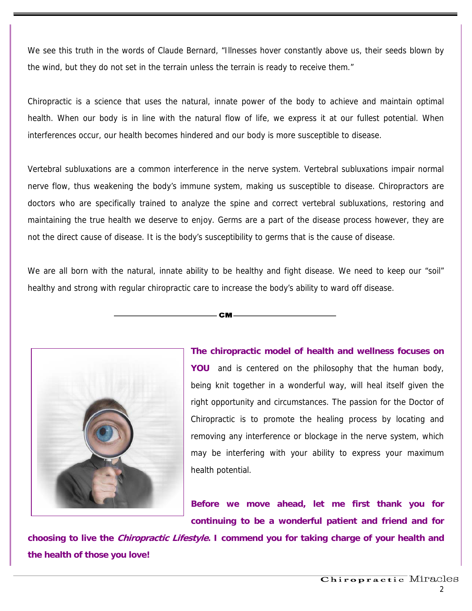We see this truth in the words of Claude Bernard, "Illnesses hover constantly above us, their seeds blown by the wind, but they do not set in the terrain unless the terrain is ready to receive them."

Chiropractic is a science that uses the natural, innate power of the body to achieve and maintain optimal health. When our body is in line with the natural flow of life, we express it at our fullest potential. When interferences occur, our health becomes hindered and our body is more susceptible to disease.

Vertebral subluxations are a common interference in the nerve system. Vertebral subluxations impair normal nerve flow, thus weakening the body's immune system, making us susceptible to disease. Chiropractors are doctors who are specifically trained to analyze the spine and correct vertebral subluxations, restoring and maintaining the true health we deserve to enjoy. Germs are a part of the disease process however, they are not the direct cause of disease. It is the body's susceptibility to germs that is the cause of disease.

We are all born with the natural, innate ability to be healthy and fight disease. We need to keep our "soil" healthy and strong with regular chiropractic care to increase the body's ability to ward off disease.

 $cm -$ 



**The chiropractic model of health and wellness focuses on YOU** and is centered on the philosophy that the human body, being knit together in a wonderful way, will heal itself given the right opportunity and circumstances. The passion for the Doctor of Chiropractic is to promote the healing process by locating and removing any interference or blockage in the nerve system, which may be interfering with your ability to express your maximum health potential.

**Before we move ahead, let me first thank you for continuing to be a wonderful patient and friend and for** 

**choosing to live the Chiropractic Lifestyle. I commend you for taking charge of your health and the health of those you love!**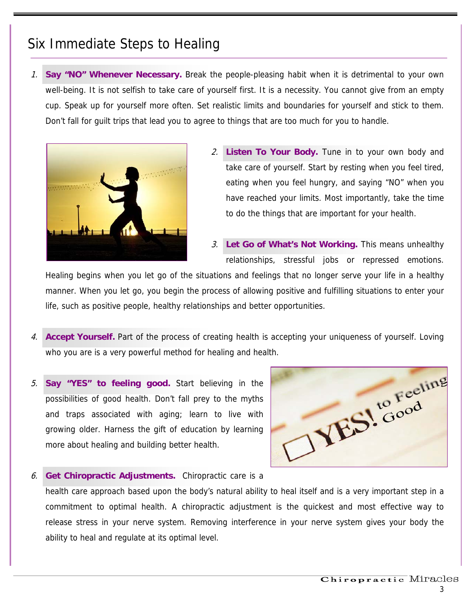## Six Immediate Steps to Healing

1. **Say "NO" Whenever Necessary.** Break the people-pleasing habit when it is detrimental to your own well-being. It is not selfish to take care of yourself first. It is a necessity. You cannot give from an empty cup. Speak up for yourself more often. Set realistic limits and boundaries for yourself and stick to them. Don't fall for guilt trips that lead you to agree to things that are too much for you to handle.



- 2. **Listen To Your Body.** Tune in to your own body and take care of yourself. Start by resting when you feel tired, eating when you feel hungry, and saying "NO" when you have reached your limits. Most importantly, take the time to do the things that are important for your health.
- 3. **Let Go of What's Not Working.** This means unhealthy relationships, stressful jobs or repressed emotions.

Healing begins when you let go of the situations and feelings that no longer serve your life in a healthy manner. When you let go, you begin the process of allowing positive and fulfilling situations to enter your life, such as positive people, healthy relationships and better opportunities.

- Accept Yourself. Part of the process of creating health is accepting your uniqueness of yourself. Loving who you are is a very powerful method for healing and health.
- 5. **Say "YES" to feeling good.** Start believing in the possibilities of good health. Don't fall prey to the myths and traps associated with aging; learn to live with growing older. Harness the gift of education by learning more about healing and building better health.



#### 6. **Get Chiropractic Adjustments.** Chiropractic care is a

health care approach based upon the body's natural ability to heal itself and is a very important step in a commitment to optimal health. A chiropractic adjustment is the quickest and most effective way to release stress in your nerve system. Removing interference in your nerve system gives your body the ability to heal and regulate at its optimal level.